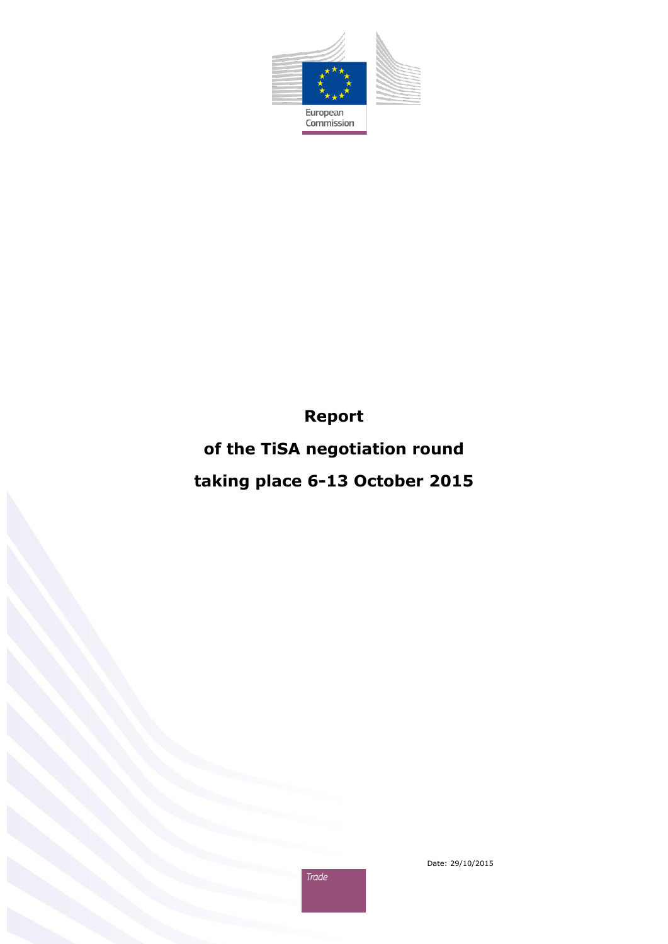

**Report**

**of the TiSA negotiation round**

**taking place 6-13 October 2015**



Trade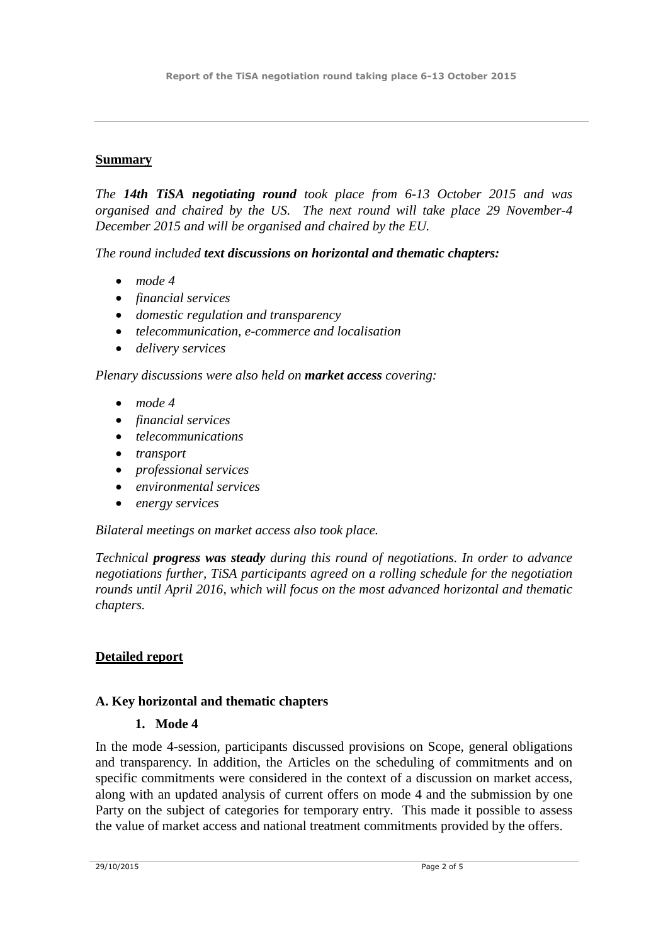## **Summary**

*The 14th TiSA negotiating round took place from 6-13 October 2015 and was organised and chaired by the US. The next round will take place 29 November-4 December 2015 and will be organised and chaired by the EU.*

*The round included text discussions on horizontal and thematic chapters:*

- *mode 4*
- *financial services*
- *domestic regulation and transparency*
- *telecommunication, e-commerce and localisation*
- *delivery services*

*Plenary discussions were also held on market access covering:*

- *mode 4*
- *financial services*
- *telecommunications*
- *transport*
- *professional services*
- *environmental services*
- *energy services*

*Bilateral meetings on market access also took place.* 

*Technical progress was steady during this round of negotiations. In order to advance negotiations further, TiSA participants agreed on a rolling schedule for the negotiation rounds until April 2016, which will focus on the most advanced horizontal and thematic chapters.*

# **Detailed report**

# **A. Key horizontal and thematic chapters**

### **1. Mode 4**

In the mode 4-session, participants discussed provisions on Scope, general obligations and transparency. In addition, the Articles on the scheduling of commitments and on specific commitments were considered in the context of a discussion on market access, along with an updated analysis of current offers on mode 4 and the submission by one Party on the subject of categories for temporary entry. This made it possible to assess the value of market access and national treatment commitments provided by the offers.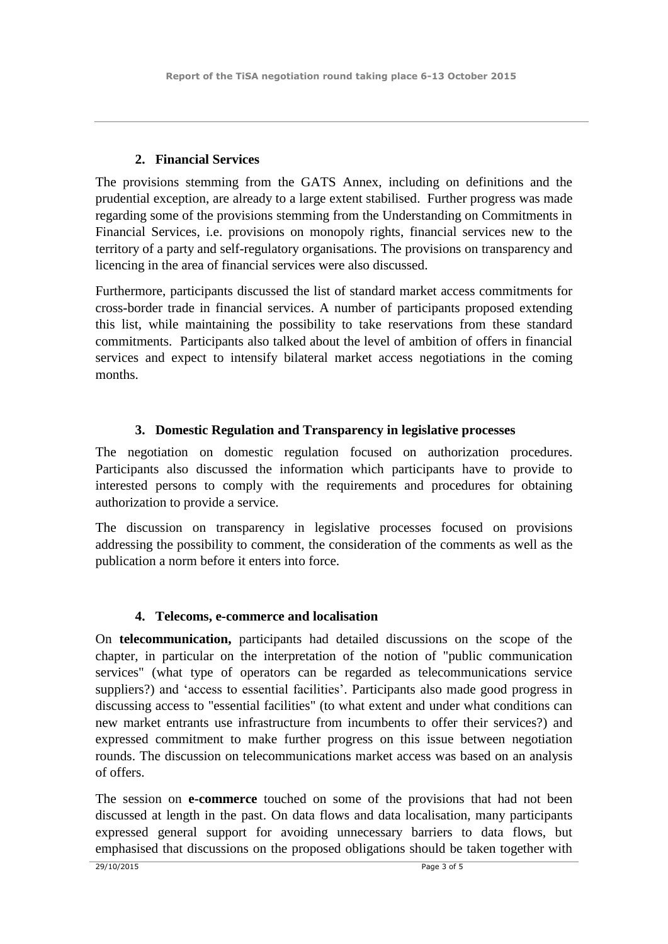### **2. Financial Services**

The provisions stemming from the GATS Annex, including on definitions and the prudential exception, are already to a large extent stabilised. Further progress was made regarding some of the provisions stemming from the Understanding on Commitments in Financial Services, i.e. provisions on monopoly rights, financial services new to the territory of a party and self-regulatory organisations. The provisions on transparency and licencing in the area of financial services were also discussed.

Furthermore, participants discussed the list of standard market access commitments for cross-border trade in financial services. A number of participants proposed extending this list, while maintaining the possibility to take reservations from these standard commitments. Participants also talked about the level of ambition of offers in financial services and expect to intensify bilateral market access negotiations in the coming months.

## **3. Domestic Regulation and Transparency in legislative processes**

The negotiation on domestic regulation focused on authorization procedures. Participants also discussed the information which participants have to provide to interested persons to comply with the requirements and procedures for obtaining authorization to provide a service.

The discussion on transparency in legislative processes focused on provisions addressing the possibility to comment, the consideration of the comments as well as the publication a norm before it enters into force.

### **4. Telecoms, e-commerce and localisation**

On **telecommunication,** participants had detailed discussions on the scope of the chapter, in particular on the interpretation of the notion of "public communication services" (what type of operators can be regarded as telecommunications service suppliers?) and 'access to essential facilities'. Participants also made good progress in discussing access to "essential facilities" (to what extent and under what conditions can new market entrants use infrastructure from incumbents to offer their services?) and expressed commitment to make further progress on this issue between negotiation rounds. The discussion on telecommunications market access was based on an analysis of offers.

The session on **e-commerce** touched on some of the provisions that had not been discussed at length in the past. On data flows and data localisation, many participants expressed general support for avoiding unnecessary barriers to data flows, but emphasised that discussions on the proposed obligations should be taken together with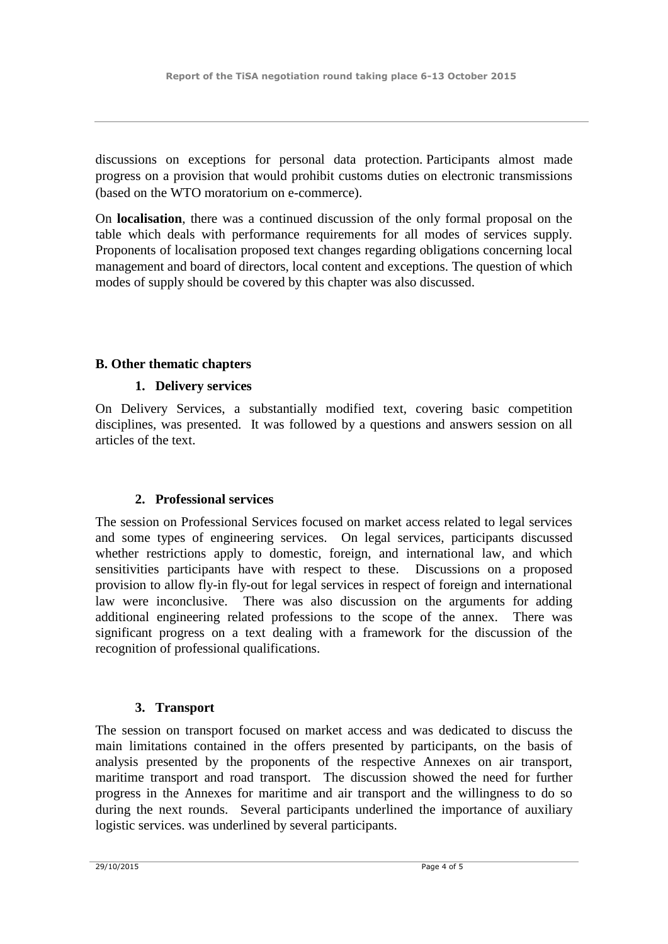discussions on exceptions for personal data protection. Participants almost made progress on a provision that would prohibit customs duties on electronic transmissions (based on the WTO moratorium on e-commerce).

On **localisation**, there was a continued discussion of the only formal proposal on the table which deals with performance requirements for all modes of services supply. Proponents of localisation proposed text changes regarding obligations concerning local management and board of directors, local content and exceptions. The question of which modes of supply should be covered by this chapter was also discussed.

### **B. Other thematic chapters**

### **1. Delivery services**

On Delivery Services, a substantially modified text, covering basic competition disciplines, was presented. It was followed by a questions and answers session on all articles of the text.

### **2. Professional services**

The session on Professional Services focused on market access related to legal services and some types of engineering services. On legal services, participants discussed whether restrictions apply to domestic, foreign, and international law, and which sensitivities participants have with respect to these. Discussions on a proposed provision to allow fly-in fly-out for legal services in respect of foreign and international law were inconclusive. There was also discussion on the arguments for adding additional engineering related professions to the scope of the annex. There was significant progress on a text dealing with a framework for the discussion of the recognition of professional qualifications.

### **3. Transport**

The session on transport focused on market access and was dedicated to discuss the main limitations contained in the offers presented by participants, on the basis of analysis presented by the proponents of the respective Annexes on air transport, maritime transport and road transport. The discussion showed the need for further progress in the Annexes for maritime and air transport and the willingness to do so during the next rounds. Several participants underlined the importance of auxiliary logistic services. was underlined by several participants.